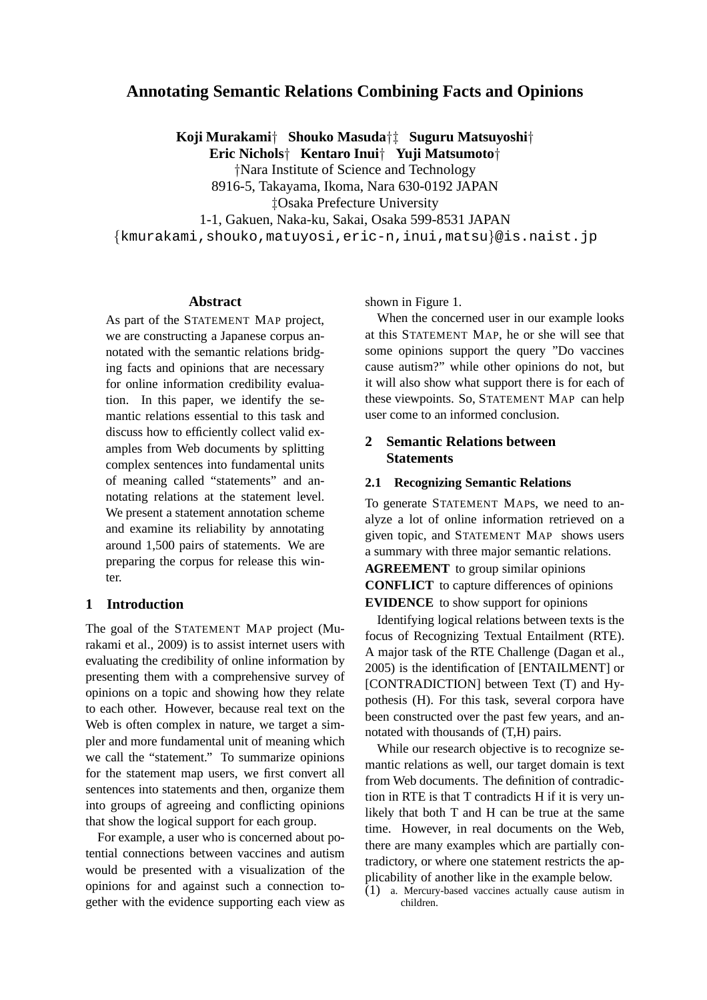# **Annotating Semantic Relations Combining Facts and Opinions**

**Koji Murakami**† **Shouko Masuda**†‡ **Suguru Matsuyoshi**†

**Eric Nichols**† **Kentaro Inui**† **Yuji Matsumoto**†

†Nara Institute of Science and Technology

8916-5, Takayama, Ikoma, Nara 630-0192 JAPAN

‡Osaka Prefecture University

1-1, Gakuen, Naka-ku, Sakai, Osaka 599-8531 JAPAN

{kmurakami,shouko,matuyosi,eric-n,inui,matsu}@is.naist.jp

### **Abstract**

As part of the STATEMENT MAP project, we are constructing a Japanese corpus annotated with the semantic relations bridging facts and opinions that are necessary for online information credibility evaluation. In this paper, we identify the semantic relations essential to this task and discuss how to efficiently collect valid examples from Web documents by splitting complex sentences into fundamental units of meaning called "statements" and annotating relations at the statement level. We present a statement annotation scheme and examine its reliability by annotating around 1,500 pairs of statements. We are preparing the corpus for release this winter.

### **1 Introduction**

The goal of the STATEMENT MAP project (Murakami et al., 2009) is to assist internet users with evaluating the credibility of online information by presenting them with a comprehensive survey of opinions on a topic and showing how they relate to each other. However, because real text on the Web is often complex in nature, we target a simpler and more fundamental unit of meaning which we call the "statement." To summarize opinions for the statement map users, we first convert all sentences into statements and then, organize them into groups of agreeing and conflicting opinions that show the logical support for each group.

For example, a user who is concerned about potential connections between vaccines and autism would be presented with a visualization of the opinions for and against such a connection together with the evidence supporting each view as shown in Figure 1.

When the concerned user in our example looks at this STATEMENT MAP, he or she will see that some opinions support the query "Do vaccines cause autism?" while other opinions do not, but it will also show what support there is for each of these viewpoints. So, STATEMENT MAP can help user come to an informed conclusion.

## **2 Semantic Relations between Statements**

#### **2.1 Recognizing Semantic Relations**

To generate STATEMENT MAPs, we need to analyze a lot of online information retrieved on a given topic, and STATEMENT MAP shows users a summary with three major semantic relations. **AGREEMENT** to group similar opinions **CONFLICT** to capture differences of opinions **EVIDENCE** to show support for opinions

Identifying logical relations between texts is the focus of Recognizing Textual Entailment (RTE). A major task of the RTE Challenge (Dagan et al., 2005) is the identification of [ENTAILMENT] or [CONTRADICTION] between Text (T) and Hypothesis (H). For this task, several corpora have been constructed over the past few years, and annotated with thousands of (T,H) pairs.

While our research objective is to recognize semantic relations as well, our target domain is text from Web documents. The definition of contradiction in RTE is that T contradicts H if it is very unlikely that both T and H can be true at the same time. However, in real documents on the Web, there are many examples which are partially contradictory, or where one statement restricts the applicability of another like in the example below.

(1) a. Mercury-based vaccines actually cause autism in children.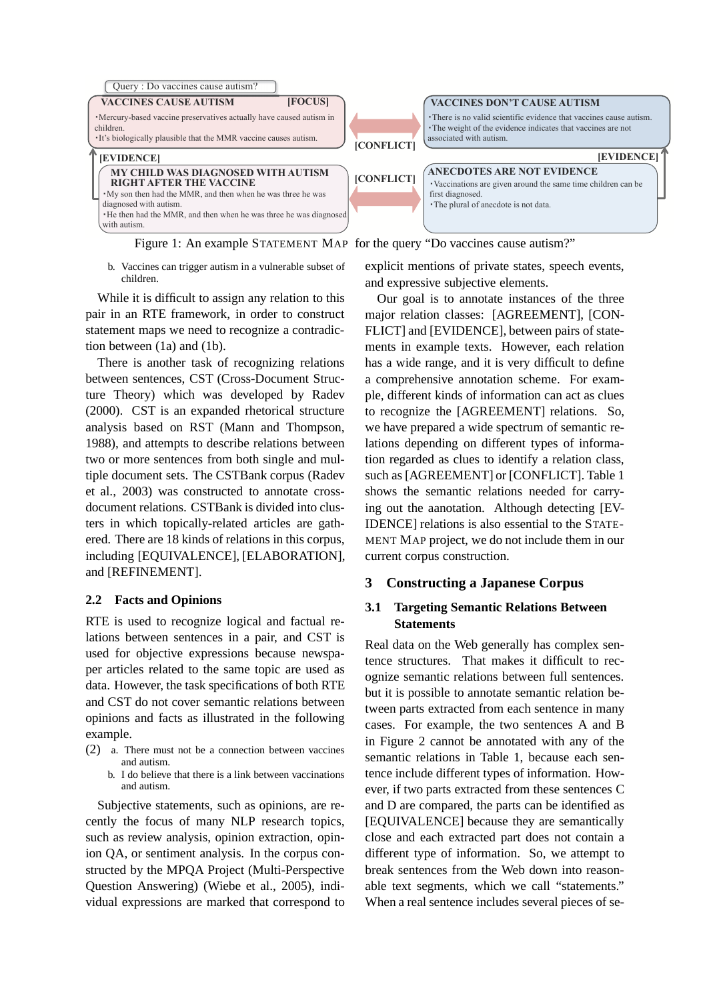

Figure 1: An example STATEMENT MAP for the query "Do vaccines cause autism?"

b. Vaccines can trigger autism in a vulnerable subset of children.

While it is difficult to assign any relation to this pair in an RTE framework, in order to construct statement maps we need to recognize a contradiction between (1a) and (1b).

There is another task of recognizing relations between sentences, CST (Cross-Document Structure Theory) which was developed by Radev (2000). CST is an expanded rhetorical structure analysis based on RST (Mann and Thompson, 1988), and attempts to describe relations between two or more sentences from both single and multiple document sets. The CSTBank corpus (Radev et al., 2003) was constructed to annotate crossdocument relations. CSTBank is divided into clusters in which topically-related articles are gathered. There are 18 kinds of relations in this corpus, including [EQUIVALENCE], [ELABORATION], and [REFINEMENT].

#### **2.2 Facts and Opinions**

RTE is used to recognize logical and factual relations between sentences in a pair, and CST is used for objective expressions because newspaper articles related to the same topic are used as data. However, the task specifications of both RTE and CST do not cover semantic relations between opinions and facts as illustrated in the following example.

- (2) a. There must not be a connection between vaccines and autism.
	- b. I do believe that there is a link between vaccinations and autism.

Subjective statements, such as opinions, are recently the focus of many NLP research topics, such as review analysis, opinion extraction, opinion QA, or sentiment analysis. In the corpus constructed by the MPQA Project (Multi-Perspective Question Answering) (Wiebe et al., 2005), individual expressions are marked that correspond to explicit mentions of private states, speech events, and expressive subjective elements.

Our goal is to annotate instances of the three major relation classes: [AGREEMENT], [CON-FLICT] and [EVIDENCE], between pairs of statements in example texts. However, each relation has a wide range, and it is very difficult to define a comprehensive annotation scheme. For example, different kinds of information can act as clues to recognize the [AGREEMENT] relations. So, we have prepared a wide spectrum of semantic relations depending on different types of information regarded as clues to identify a relation class, such as [AGREEMENT] or [CONFLICT]. Table 1 shows the semantic relations needed for carrying out the aanotation. Although detecting [EV-IDENCE] relations is also essential to the STATE-MENT MAP project, we do not include them in our current corpus construction.

#### **3 Constructing a Japanese Corpus**

### **3.1 Targeting Semantic Relations Between Statements**

Real data on the Web generally has complex sentence structures. That makes it difficult to recognize semantic relations between full sentences. but it is possible to annotate semantic relation between parts extracted from each sentence in many cases. For example, the two sentences A and B in Figure 2 cannot be annotated with any of the semantic relations in Table 1, because each sentence include different types of information. However, if two parts extracted from these sentences C and D are compared, the parts can be identified as [EQUIVALENCE] because they are semantically close and each extracted part does not contain a different type of information. So, we attempt to break sentences from the Web down into reasonable text segments, which we call "statements." When a real sentence includes several pieces of se-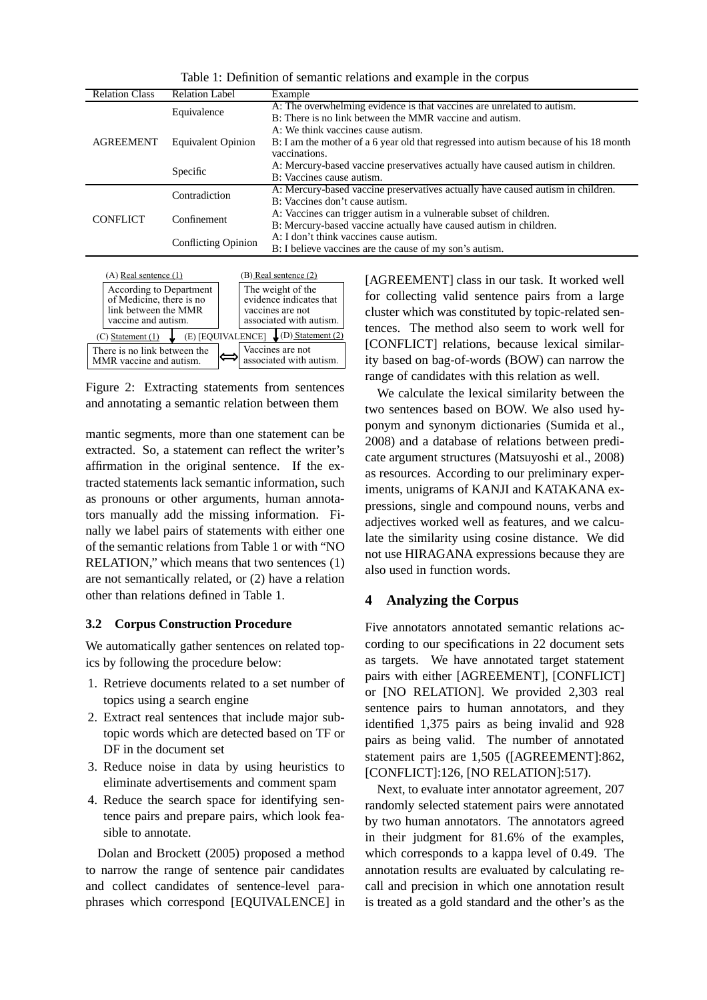| <b>Relation Class</b> | <b>Relation Label</b>      | Example                                                                               |
|-----------------------|----------------------------|---------------------------------------------------------------------------------------|
| <b>AGREEMENT</b>      | Equivalence                | A: The overwhelming evidence is that vaccines are unrelated to autism.                |
|                       |                            | B: There is no link between the MMR vaccine and autism.                               |
|                       | <b>Equivalent Opinion</b>  | A: We think vaccines cause autism.                                                    |
|                       |                            | B: I am the mother of a 6 year old that regressed into autism because of his 18 month |
|                       |                            | vaccinations.                                                                         |
|                       | Specific                   | A: Mercury-based vaccine preservatives actually have caused autism in children.       |
|                       |                            | B: Vaccines cause autism.                                                             |
| <b>CONFLICT</b>       | Contradiction              | A: Mercury-based vaccine preservatives actually have caused autism in children.       |
|                       |                            | B: Vaccines don't cause autism.                                                       |
|                       | Confinement                | A: Vaccines can trigger autism in a vulnerable subset of children.                    |
|                       |                            | B: Mercury-based vaccine actually have caused autism in children.                     |
|                       | <b>Conflicting Opinion</b> | A: I don't think vaccines cause autism.                                               |
|                       |                            | B: I believe vaccines are the cause of my son's autism.                               |
|                       |                            |                                                                                       |

Table 1: Definition of semantic relations and example in the corpus

| $(A)$ Real sentence $(1)$                               |                                                                                                    | $(B)$ Real sentence $(2)$ |                                             |                                                                                             |  |
|---------------------------------------------------------|----------------------------------------------------------------------------------------------------|---------------------------|---------------------------------------------|---------------------------------------------------------------------------------------------|--|
|                                                         | According to Department<br>of Medicine, there is no<br>link between the MMR<br>vaccine and autism. |                           |                                             | The weight of the<br>evidence indicates that<br>vaccines are not<br>associated with autism. |  |
| $(C)$ Statement $(1)$                                   | (E) [EQUIVALENCE]                                                                                  |                           |                                             | $(D)$ Statement $(2)$                                                                       |  |
| There is no link between the<br>MMR vaccine and autism. |                                                                                                    |                           | Vaccines are not<br>associated with autism. |                                                                                             |  |

Figure 2: Extracting statements from sentences and annotating a semantic relation between them

mantic segments, more than one statement can be extracted. So, a statement can reflect the writer's affirmation in the original sentence. If the extracted statements lack semantic information, such as pronouns or other arguments, human annotators manually add the missing information. Finally we label pairs of statements with either one of the semantic relations from Table 1 or with "NO RELATION," which means that two sentences (1) are not semantically related, or (2) have a relation other than relations defined in Table 1.

#### **3.2 Corpus Construction Procedure**

We automatically gather sentences on related topics by following the procedure below:

- 1. Retrieve documents related to a set number of topics using a search engine
- 2. Extract real sentences that include major subtopic words which are detected based on TF or DF in the document set
- 3. Reduce noise in data by using heuristics to eliminate advertisements and comment spam
- 4. Reduce the search space for identifying sentence pairs and prepare pairs, which look feasible to annotate.

Dolan and Brockett (2005) proposed a method to narrow the range of sentence pair candidates and collect candidates of sentence-level paraphrases which correspond [EQUIVALENCE] in [AGREEMENT] class in our task. It worked well for collecting valid sentence pairs from a large cluster which was constituted by topic-related sentences. The method also seem to work well for [CONFLICT] relations, because lexical similarity based on bag-of-words (BOW) can narrow the range of candidates with this relation as well.

We calculate the lexical similarity between the two sentences based on BOW. We also used hyponym and synonym dictionaries (Sumida et al., 2008) and a database of relations between predicate argument structures (Matsuyoshi et al., 2008) as resources. According to our preliminary experiments, unigrams of KANJI and KATAKANA expressions, single and compound nouns, verbs and adjectives worked well as features, and we calculate the similarity using cosine distance. We did not use HIRAGANA expressions because they are also used in function words.

#### **4 Analyzing the Corpus**

Five annotators annotated semantic relations according to our specifications in 22 document sets as targets. We have annotated target statement pairs with either [AGREEMENT], [CONFLICT] or [NO RELATION]. We provided 2,303 real sentence pairs to human annotators, and they identified 1,375 pairs as being invalid and 928 pairs as being valid. The number of annotated statement pairs are 1,505 ([AGREEMENT]:862, [CONFLICT]:126, [NO RELATION]:517).

Next, to evaluate inter annotator agreement, 207 randomly selected statement pairs were annotated by two human annotators. The annotators agreed in their judgment for 81.6% of the examples, which corresponds to a kappa level of 0.49. The annotation results are evaluated by calculating recall and precision in which one annotation result is treated as a gold standard and the other's as the